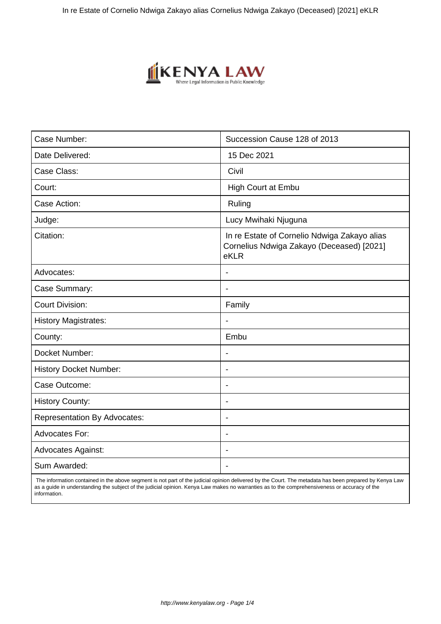

| Case Number:                        | Succession Cause 128 of 2013                                                                      |
|-------------------------------------|---------------------------------------------------------------------------------------------------|
| Date Delivered:                     | 15 Dec 2021                                                                                       |
| Case Class:                         | Civil                                                                                             |
| Court:                              | High Court at Embu                                                                                |
| Case Action:                        | Ruling                                                                                            |
| Judge:                              | Lucy Mwihaki Njuguna                                                                              |
| Citation:                           | In re Estate of Cornelio Ndwiga Zakayo alias<br>Cornelius Ndwiga Zakayo (Deceased) [2021]<br>eKLR |
| Advocates:                          |                                                                                                   |
| Case Summary:                       | $\blacksquare$                                                                                    |
| <b>Court Division:</b>              | Family                                                                                            |
| <b>History Magistrates:</b>         |                                                                                                   |
| County:                             | Embu                                                                                              |
| Docket Number:                      | $\overline{\phantom{a}}$                                                                          |
| <b>History Docket Number:</b>       | $\blacksquare$                                                                                    |
| Case Outcome:                       | $\overline{\phantom{a}}$                                                                          |
| <b>History County:</b>              | $\blacksquare$                                                                                    |
| <b>Representation By Advocates:</b> | $\overline{\phantom{a}}$                                                                          |
| <b>Advocates For:</b>               | $\blacksquare$                                                                                    |
| <b>Advocates Against:</b>           |                                                                                                   |
| Sum Awarded:                        |                                                                                                   |

 The information contained in the above segment is not part of the judicial opinion delivered by the Court. The metadata has been prepared by Kenya Law as a guide in understanding the subject of the judicial opinion. Kenya Law makes no warranties as to the comprehensiveness or accuracy of the information.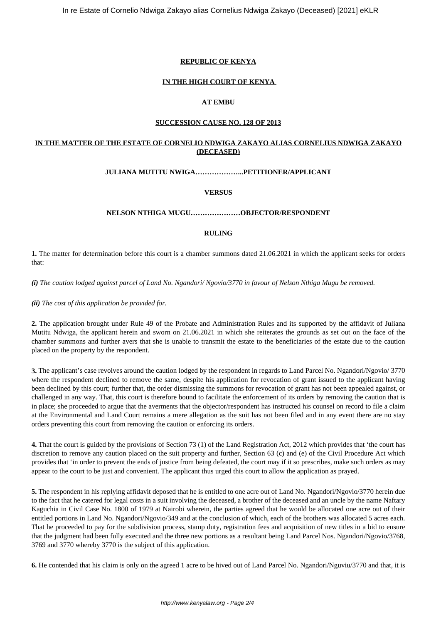## **REPUBLIC OF KENYA**

# **IN THE HIGH COURT OF KENYA**

# **AT EMBU**

### **SUCCESSION CAUSE NO. 128 OF 2013**

# **IN THE MATTER OF THE ESTATE OF CORNELIO NDWIGA ZAKAYO ALIAS CORNELIUS NDWIGA ZAKAYO (DECEASED)**

## **JULIANA MUTITU NWIGA………………...PETITIONER/APPLICANT**

## **VERSUS**

## **NELSON NTHIGA MUGU…………………OBJECTOR/RESPONDENT**

## **RULING**

**1.** The matter for determination before this court is a chamber summons dated 21.06.2021 in which the applicant seeks for orders that:

*(i) The caution lodged against parcel of Land No. Ngandori/ Ngovio/3770 in favour of Nelson Nthiga Mugu be removed.*

*(ii) The cost of this application be provided for.*

**2.** The application brought under Rule 49 of the Probate and Administration Rules and its supported by the affidavit of Juliana Mutitu Ndwiga, the applicant herein and sworn on 21.06.2021 in which she reiterates the grounds as set out on the face of the chamber summons and further avers that she is unable to transmit the estate to the beneficiaries of the estate due to the caution placed on the property by the respondent.

**3.** The applicant's case revolves around the caution lodged by the respondent in regards to Land Parcel No. Ngandori/Ngovio/ 3770 where the respondent declined to remove the same, despite his application for revocation of grant issued to the applicant having been declined by this court; further that, the order dismissing the summons for revocation of grant has not been appealed against, or challenged in any way. That, this court is therefore bound to facilitate the enforcement of its orders by removing the caution that is in place; she proceeded to argue that the averments that the objector/respondent has instructed his counsel on record to file a claim at the Environmental and Land Court remains a mere allegation as the suit has not been filed and in any event there are no stay orders preventing this court from removing the caution or enforcing its orders.

**4.** That the court is guided by the provisions of Section 73 (1) of the Land Registration Act, 2012 which provides that 'the court has discretion to remove any caution placed on the suit property and further, Section 63 (c) and (e) of the Civil Procedure Act which provides that 'in order to prevent the ends of justice from being defeated, the court may if it so prescribes, make such orders as may appear to the court to be just and convenient. The applicant thus urged this court to allow the application as prayed.

**5.** The respondent in his replying affidavit deposed that he is entitled to one acre out of Land No. Ngandori/Ngovio/3770 herein due to the fact that he catered for legal costs in a suit involving the deceased, a brother of the deceased and an uncle by the name Naftary Kaguchia in Civil Case No. 1800 of 1979 at Nairobi wherein, the parties agreed that he would be allocated one acre out of their entitled portions in Land No. Ngandori/Ngovio/349 and at the conclusion of which, each of the brothers was allocated 5 acres each. That he proceeded to pay for the subdivision process, stamp duty, registration fees and acquisition of new titles in a bid to ensure that the judgment had been fully executed and the three new portions as a resultant being Land Parcel Nos. Ngandori/Ngovio/3768, 3769 and 3770 whereby 3770 is the subject of this application.

**6.** He contended that his claim is only on the agreed 1 acre to be hived out of Land Parcel No. Ngandori/Nguviu/3770 and that, it is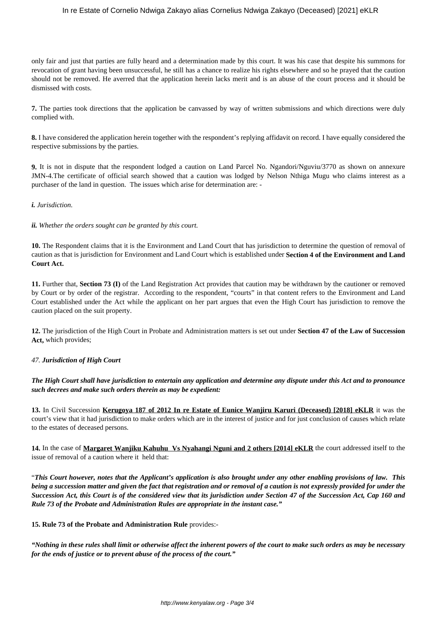## In re Estate of Cornelio Ndwiga Zakayo alias Cornelius Ndwiga Zakayo (Deceased) [2021] eKLR

only fair and just that parties are fully heard and a determination made by this court. It was his case that despite his summons for revocation of grant having been unsuccessful, he still has a chance to realize his rights elsewhere and so he prayed that the caution should not be removed. He averred that the application herein lacks merit and is an abuse of the court process and it should be dismissed with costs.

**7.** The parties took directions that the application be canvassed by way of written submissions and which directions were duly complied with.

**8.** I have considered the application herein together with the respondent's replying affidavit on record. I have equally considered the respective submissions by the parties.

**9.** It is not in dispute that the respondent lodged a caution on Land Parcel No. Ngandori/Nguviu/3770 as shown on annexure JMN-4.The certificate of official search showed that a caution was lodged by Nelson Nthiga Mugu who claims interest as a purchaser of the land in question. The issues which arise for determination are: -

## *i. Jurisdiction.*

#### *ii. Whether the orders sought can be granted by this court.*

**10.** The Respondent claims that it is the Environment and Land Court that has jurisdiction to determine the question of removal of caution as that is jurisdiction for Environment and Land Court which is established under **Section 4 of the Environment and Land Court Act.** 

**11.** Further that, **Section 73 (I)** of the Land Registration Act provides that caution may be withdrawn by the cautioner or removed by Court or by order of the registrar. According to the respondent, "courts" in that content refers to the Environment and Land Court established under the Act while the applicant on her part argues that even the High Court has jurisdiction to remove the caution placed on the suit property.

**12.** The jurisdiction of the High Court in Probate and Administration matters is set out under **Section 47 of the Law of Succession Act,** which provides;

## *47. Jurisdiction of High Court*

*The High Court shall have jurisdiction to entertain any application and determine any dispute under this Act and to pronounce such decrees and make such orders therein as may be expedient:*

**13.** In Civil Succession **Kerugoya 187 of 2012 In re Estate of Eunice Wanjiru Karuri (Deceased) [2018] eKLR** it was the court's view that it had jurisdiction to make orders which are in the interest of justice and for just conclusion of causes which relate to the estates of deceased persons.

**14.** In the case of **Margaret Wanjiku Kahuhu Vs Nyahangi Nguni and 2 others [2014] eKLR** the court addressed itself to the issue of removal of a caution where it held that:

"*This Court however, notes that the Applicant's application is also brought under any other enabling provisions of law. This being a succession matter and given the fact that registration and or removal of a caution is not expressly provided for under the Succession Act, this Court is of the considered view that its jurisdiction under Section 47 of the Succession Act, Cap 160 and Rule 73 of the Probate and Administration Rules are appropriate in the instant case."*

## **15. Rule 73 of the Probate and Administration Rule** provides:-

*"Nothing in these rules shall limit or otherwise affect the inherent powers of the court to make such orders as may be necessary for the ends of justice or to prevent abuse of the process of the court."*